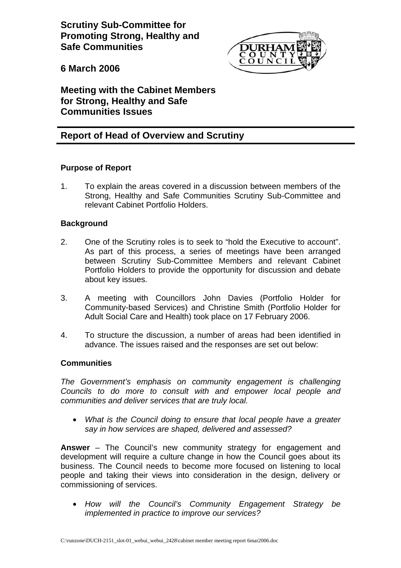**Scrutiny Sub-Committee for Promoting Strong, Healthy and Safe Communities** 



**6 March 2006** 

**Meeting with the Cabinet Members for Strong, Healthy and Safe Communities Issues** 

# **Report of Head of Overview and Scrutiny**

## **Purpose of Report**

1. To explain the areas covered in a discussion between members of the Strong, Healthy and Safe Communities Scrutiny Sub-Committee and relevant Cabinet Portfolio Holders.

## **Background**

- 2. One of the Scrutiny roles is to seek to "hold the Executive to account". As part of this process, a series of meetings have been arranged between Scrutiny Sub-Committee Members and relevant Cabinet Portfolio Holders to provide the opportunity for discussion and debate about key issues.
- 3. A meeting with Councillors John Davies (Portfolio Holder for Community-based Services) and Christine Smith (Portfolio Holder for Adult Social Care and Health) took place on 17 February 2006.
- 4. To structure the discussion, a number of areas had been identified in advance. The issues raised and the responses are set out below:

## **Communities**

*The Government's emphasis on community engagement is challenging Councils to do more to consult with and empower local people and communities and deliver services that are truly local.* 

• *What is the Council doing to ensure that local people have a greater say in how services are shaped, delivered and assessed?* 

**Answer** – The Council's new community strategy for engagement and development will require a culture change in how the Council goes about its business. The Council needs to become more focused on listening to local people and taking their views into consideration in the design, delivery or commissioning of services.

• *How will the Council's Community Engagement Strategy be implemented in practice to improve our services?*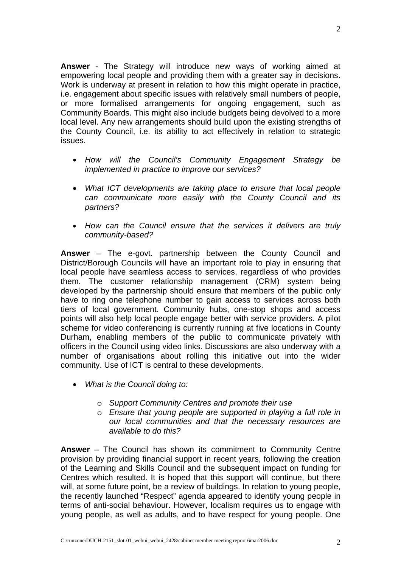**Answer** - The Strategy will introduce new ways of working aimed at empowering local people and providing them with a greater say in decisions. Work is underway at present in relation to how this might operate in practice, i.e. engagement about specific issues with relatively small numbers of people, or more formalised arrangements for ongoing engagement, such as Community Boards. This might also include budgets being devolved to a more local level. Any new arrangements should build upon the existing strengths of the County Council, i.e. its ability to act effectively in relation to strategic issues.

- *How will the Council's Community Engagement Strategy be implemented in practice to improve our services?*
- *What ICT developments are taking place to ensure that local people can communicate more easily with the County Council and its partners?*
- *How can the Council ensure that the services it delivers are truly community-based?*

**Answer** – The e-govt. partnership between the County Council and District/Borough Councils will have an important role to play in ensuring that local people have seamless access to services, regardless of who provides them. The customer relationship management (CRM) system being developed by the partnership should ensure that members of the public only have to ring one telephone number to gain access to services across both tiers of local government. Community hubs, one-stop shops and access points will also help local people engage better with service providers. A pilot scheme for video conferencing is currently running at five locations in County Durham, enabling members of the public to communicate privately with officers in the Council using video links. Discussions are also underway with a number of organisations about rolling this initiative out into the wider community. Use of ICT is central to these developments.

- *What is the Council doing to:* 
	- o *Support Community Centres and promote their use*
	- o *Ensure that young people are supported in playing a full role in our local communities and that the necessary resources are available to do this?*

**Answer** – The Council has shown its commitment to Community Centre provision by providing financial support in recent years, following the creation of the Learning and Skills Council and the subsequent impact on funding for Centres which resulted. It is hoped that this support will continue, but there will, at some future point, be a review of buildings. In relation to young people, the recently launched "Respect" agenda appeared to identify young people in terms of anti-social behaviour. However, localism requires us to engage with young people, as well as adults, and to have respect for young people. One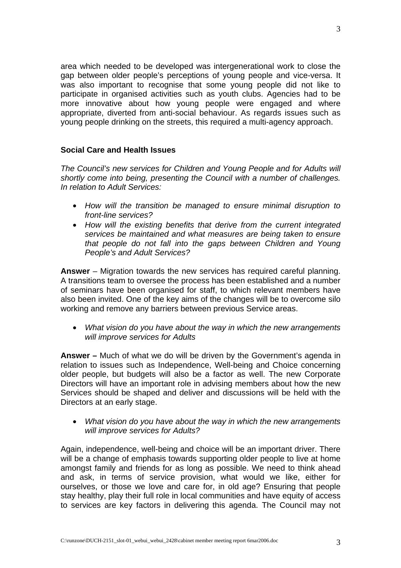area which needed to be developed was intergenerational work to close the gap between older people's perceptions of young people and vice-versa. It was also important to recognise that some young people did not like to participate in organised activities such as youth clubs. Agencies had to be more innovative about how young people were engaged and where appropriate, diverted from anti-social behaviour. As regards issues such as young people drinking on the streets, this required a multi-agency approach.

## **Social Care and Health Issues**

*The Council's new services for Children and Young People and for Adults will shortly come into being, presenting the Council with a number of challenges. In relation to Adult Services:* 

- *How will the transition be managed to ensure minimal disruption to front-line services?*
- *How will the existing benefits that derive from the current integrated services be maintained and what measures are being taken to ensure that people do not fall into the gaps between Children and Young People's and Adult Services?*

**Answer** – Migration towards the new services has required careful planning. A transitions team to oversee the process has been established and a number of seminars have been organised for staff, to which relevant members have also been invited. One of the key aims of the changes will be to overcome silo working and remove any barriers between previous Service areas.

• *What vision do you have about the way in which the new arrangements will improve services for Adults* 

**Answer –** Much of what we do will be driven by the Government's agenda in relation to issues such as Independence, Well-being and Choice concerning older people, but budgets will also be a factor as well. The new Corporate Directors will have an important role in advising members about how the new Services should be shaped and deliver and discussions will be held with the Directors at an early stage.

• *What vision do you have about the way in which the new arrangements will improve services for Adults?* 

Again, independence, well-being and choice will be an important driver. There will be a change of emphasis towards supporting older people to live at home amongst family and friends for as long as possible. We need to think ahead and ask, in terms of service provision, what would we like, either for ourselves, or those we love and care for, in old age? Ensuring that people stay healthy, play their full role in local communities and have equity of access to services are key factors in delivering this agenda. The Council may not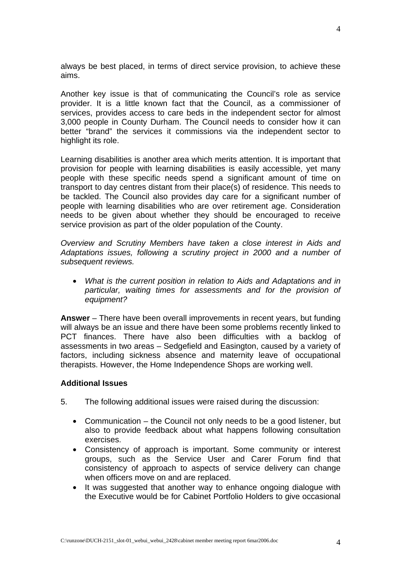always be best placed, in terms of direct service provision, to achieve these aims.

Another key issue is that of communicating the Council's role as service provider. It is a little known fact that the Council, as a commissioner of services, provides access to care beds in the independent sector for almost 3,000 people in County Durham. The Council needs to consider how it can better "brand" the services it commissions via the independent sector to highlight its role.

Learning disabilities is another area which merits attention. It is important that provision for people with learning disabilities is easily accessible, yet many people with these specific needs spend a significant amount of time on transport to day centres distant from their place(s) of residence. This needs to be tackled. The Council also provides day care for a significant number of people with learning disabilities who are over retirement age. Consideration needs to be given about whether they should be encouraged to receive service provision as part of the older population of the County.

*Overview and Scrutiny Members have taken a close interest in Aids and Adaptations issues, following a scrutiny project in 2000 and a number of subsequent reviews.* 

• *What is the current position in relation to Aids and Adaptations and in particular, waiting times for assessments and for the provision of equipment?* 

**Answer** – There have been overall improvements in recent years, but funding will always be an issue and there have been some problems recently linked to PCT finances. There have also been difficulties with a backlog of assessments in two areas – Sedgefield and Easington, caused by a variety of factors, including sickness absence and maternity leave of occupational therapists. However, the Home Independence Shops are working well.

### **Additional Issues**

- 5. The following additional issues were raised during the discussion:
	- Communication the Council not only needs to be a good listener, but also to provide feedback about what happens following consultation exercises.
	- Consistency of approach is important. Some community or interest groups, such as the Service User and Carer Forum find that consistency of approach to aspects of service delivery can change when officers move on and are replaced.
	- It was suggested that another way to enhance ongoing dialogue with the Executive would be for Cabinet Portfolio Holders to give occasional